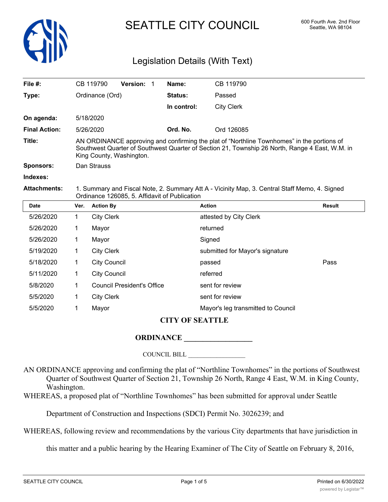

# SEATTLE CITY COUNCIL 600 Fourth Ave. 2nd Floor

## Legislation Details (With Text)

| File $#$ :           |                                                                                                                                                                                                                          | CB 119790           | Version: 1                        |  | Name:       | CB 119790                          |               |  |  |
|----------------------|--------------------------------------------------------------------------------------------------------------------------------------------------------------------------------------------------------------------------|---------------------|-----------------------------------|--|-------------|------------------------------------|---------------|--|--|
| Type:                |                                                                                                                                                                                                                          | Ordinance (Ord)     |                                   |  | Status:     | Passed                             |               |  |  |
|                      |                                                                                                                                                                                                                          |                     |                                   |  | In control: | <b>City Clerk</b>                  |               |  |  |
| On agenda:           |                                                                                                                                                                                                                          | 5/18/2020           |                                   |  |             |                                    |               |  |  |
| <b>Final Action:</b> | 5/26/2020                                                                                                                                                                                                                |                     |                                   |  | Ord. No.    | Ord 126085                         |               |  |  |
| Title:               | AN ORDINANCE approving and confirming the plat of "Northline Townhomes" in the portions of<br>Southwest Quarter of Southwest Quarter of Section 21, Township 26 North, Range 4 East, W.M. in<br>King County, Washington. |                     |                                   |  |             |                                    |               |  |  |
| Sponsors:            | Dan Strauss                                                                                                                                                                                                              |                     |                                   |  |             |                                    |               |  |  |
| Indexes:             |                                                                                                                                                                                                                          |                     |                                   |  |             |                                    |               |  |  |
| <b>Attachments:</b>  | 1. Summary and Fiscal Note, 2. Summary Att A - Vicinity Map, 3. Central Staff Memo, 4. Signed<br>Ordinance 126085, 5. Affidavit of Publication                                                                           |                     |                                   |  |             |                                    |               |  |  |
| <b>Date</b>          | Ver.                                                                                                                                                                                                                     | <b>Action By</b>    |                                   |  |             | <b>Action</b>                      | <b>Result</b> |  |  |
| 5/26/2020            | 1.                                                                                                                                                                                                                       | <b>City Clerk</b>   |                                   |  |             | attested by City Clerk             |               |  |  |
| 5/26/2020            | 1                                                                                                                                                                                                                        | Mayor               |                                   |  | returned    |                                    |               |  |  |
| 5/26/2020            | 1                                                                                                                                                                                                                        | Mayor<br>Signed     |                                   |  |             |                                    |               |  |  |
| 5/19/2020            | 1                                                                                                                                                                                                                        | <b>City Clerk</b>   |                                   |  |             | submitted for Mayor's signature    |               |  |  |
| 5/18/2020            | 1                                                                                                                                                                                                                        | <b>City Council</b> |                                   |  |             | Pass<br>passed                     |               |  |  |
| 5/11/2020            | 1                                                                                                                                                                                                                        | <b>City Council</b> |                                   |  |             | referred                           |               |  |  |
| 5/8/2020             | 1                                                                                                                                                                                                                        |                     | <b>Council President's Office</b> |  |             | sent for review                    |               |  |  |
| 5/5/2020             | 1                                                                                                                                                                                                                        | <b>City Clerk</b>   |                                   |  |             | sent for review                    |               |  |  |
| 5/5/2020             | 1                                                                                                                                                                                                                        | Mayor               |                                   |  |             | Mayor's leg transmitted to Council |               |  |  |

#### **CITY OF SEATTLE**

### **ORDINANCE \_\_\_\_\_\_\_\_\_\_\_\_\_\_\_\_\_\_**

COUNCIL BILL \_\_\_\_\_\_\_\_\_\_\_\_\_\_\_\_\_\_

AN ORDINANCE approving and confirming the plat of "Northline Townhomes" in the portions of Southwest Quarter of Southwest Quarter of Section 21, Township 26 North, Range 4 East, W.M. in King County, Washington.

WHEREAS, a proposed plat of "Northline Townhomes" has been submitted for approval under Seattle

Department of Construction and Inspections (SDCI) Permit No. 3026239; and

WHEREAS, following review and recommendations by the various City departments that have jurisdiction in

this matter and a public hearing by the Hearing Examiner of The City of Seattle on February 8, 2016,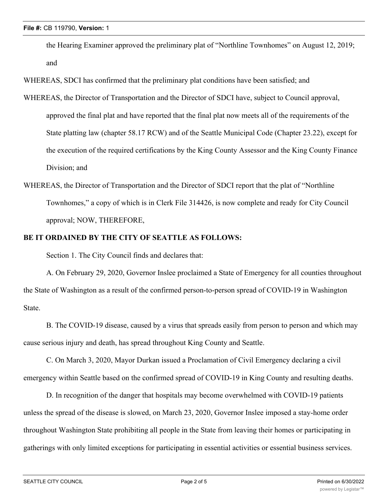the Hearing Examiner approved the preliminary plat of "Northline Townhomes" on August 12, 2019; and

WHEREAS, SDCI has confirmed that the preliminary plat conditions have been satisfied; and

- WHEREAS, the Director of Transportation and the Director of SDCI have, subject to Council approval, approved the final plat and have reported that the final plat now meets all of the requirements of the State platting law (chapter 58.17 RCW) and of the Seattle Municipal Code (Chapter 23.22), except for the execution of the required certifications by the King County Assessor and the King County Finance Division; and
- WHEREAS, the Director of Transportation and the Director of SDCI report that the plat of "Northline Townhomes," a copy of which is in Clerk File 314426, is now complete and ready for City Council approval; NOW, THEREFORE,

#### **BE IT ORDAINED BY THE CITY OF SEATTLE AS FOLLOWS:**

Section 1. The City Council finds and declares that:

A. On February 29, 2020, Governor Inslee proclaimed a State of Emergency for all counties throughout the State of Washington as a result of the confirmed person-to-person spread of COVID-19 in Washington State.

B. The COVID-19 disease, caused by a virus that spreads easily from person to person and which may cause serious injury and death, has spread throughout King County and Seattle.

C. On March 3, 2020, Mayor Durkan issued a Proclamation of Civil Emergency declaring a civil emergency within Seattle based on the confirmed spread of COVID-19 in King County and resulting deaths.

D. In recognition of the danger that hospitals may become overwhelmed with COVID-19 patients unless the spread of the disease is slowed, on March 23, 2020, Governor Inslee imposed a stay-home order throughout Washington State prohibiting all people in the State from leaving their homes or participating in gatherings with only limited exceptions for participating in essential activities or essential business services.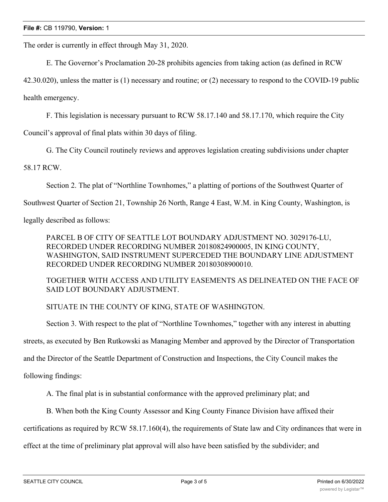The order is currently in effect through May 31, 2020.

E. The Governor's Proclamation 20-28 prohibits agencies from taking action (as defined in RCW

42.30.020), unless the matter is (1) necessary and routine; or (2) necessary to respond to the COVID-19 public health emergency.

F. This legislation is necessary pursuant to RCW 58.17.140 and 58.17.170, which require the City

Council's approval of final plats within 30 days of filing.

G. The City Council routinely reviews and approves legislation creating subdivisions under chapter

58.17 RCW.

Section 2. The plat of "Northline Townhomes," a platting of portions of the Southwest Quarter of

Southwest Quarter of Section 21, Township 26 North, Range 4 East, W.M. in King County, Washington, is

legally described as follows:

PARCEL B OF CITY OF SEATTLE LOT BOUNDARY ADJUSTMENT NO. 3029176-LU, RECORDED UNDER RECORDING NUMBER 20180824900005, IN KING COUNTY, WASHINGTON, SAID INSTRUMENT SUPERCEDED THE BOUNDARY LINE ADJUSTMENT RECORDED UNDER RECORDING NUMBER 20180308900010.

TOGETHER WITH ACCESS AND UTILITY EASEMENTS AS DELINEATED ON THE FACE OF SAID LOT BOUNDARY ADJUSTMENT.

SITUATE IN THE COUNTY OF KING, STATE OF WASHINGTON.

Section 3. With respect to the plat of "Northline Townhomes," together with any interest in abutting streets, as executed by Ben Rutkowski as Managing Member and approved by the Director of Transportation and the Director of the Seattle Department of Construction and Inspections, the City Council makes the

following findings:

A. The final plat is in substantial conformance with the approved preliminary plat; and

B. When both the King County Assessor and King County Finance Division have affixed their

certifications as required by RCW 58.17.160(4), the requirements of State law and City ordinances that were in

effect at the time of preliminary plat approval will also have been satisfied by the subdivider; and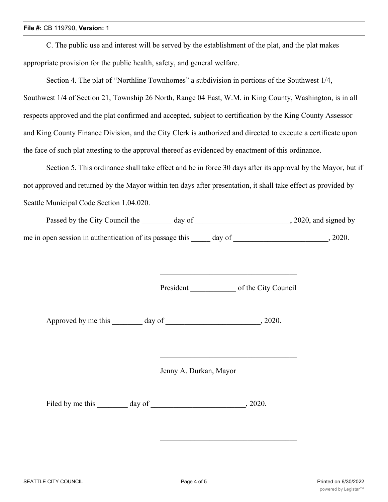C. The public use and interest will be served by the establishment of the plat, and the plat makes appropriate provision for the public health, safety, and general welfare.

Section 4. The plat of "Northline Townhomes" a subdivision in portions of the Southwest 1/4, Southwest 1/4 of Section 21, Township 26 North, Range 04 East, W.M. in King County, Washington, is in all respects approved and the plat confirmed and accepted, subject to certification by the King County Assessor and King County Finance Division, and the City Clerk is authorized and directed to execute a certificate upon the face of such plat attesting to the approval thereof as evidenced by enactment of this ordinance.

Section 5. This ordinance shall take effect and be in force 30 days after its approval by the Mayor, but if not approved and returned by the Mayor within ten days after presentation, it shall take effect as provided by Seattle Municipal Code Section 1.04.020.

| Passed by the City Council the                           | day of |        | , 2020, and signed by |
|----------------------------------------------------------|--------|--------|-----------------------|
| me in open session in authentication of its passage this |        | day of | 2020.                 |

President of the City Council

Approved by me this day of  $\qquad \qquad$ , 2020.

Jenny A. Durkan, Mayor

Filed by me this day of 3020.